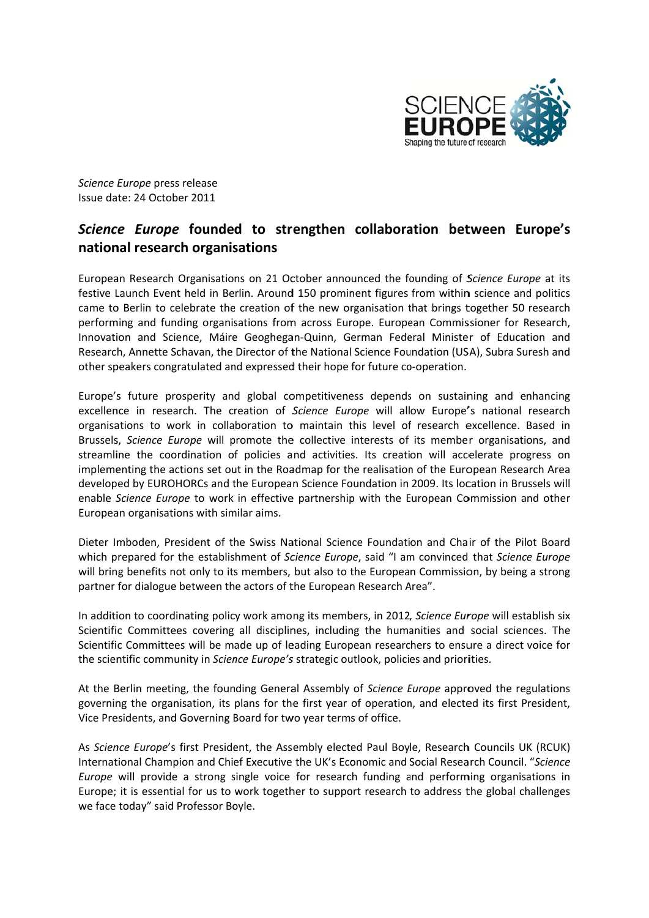

Science Europe press release Issue date: 24 October 2011

## Science Europe founded to strengthen collaboration between Europe's national research organisations

European Research Organisations on 21 October announced the founding of Science Europe at its festive Launch Event held in Berlin. Around 150 prominent figures from within science and politics came to Berlin to celebrate the creation of the new organisation that brings together 50 research performing and funding organisations from across Europe. European Commissioner for Research, Innovation and Science, Máire Geoghegan-Quinn, German Federal Minister of Education and Research, Annette Schavan, the Director of the National Science Foundation (USA), Subra Suresh and other speakers congratulated and expressed their hope for future co-operation.

Europe's future prosperity and global competitiveness depends on sustaining and enhancing excellence in research. The creation of Science Europe will allow Europe's national research organisations to work in collaboration to maintain this level of research excellence. Based in Brussels, Science Europe will promote the collective interests of its member organisations, and streamline the coordination of policies and activities. Its creation will accelerate progress on implementing the actions set out in the Roadmap for the realisation of the European Research Area developed by EUROHORCs and the European Science Foundation in 2009. Its location in Brussels will enable Science Europe to work in effective partnership with the European Commission and other European organisations with similar aims.

Dieter Imboden, President of the Swiss National Science Foundation and Chair of the Pilot Board which prepared for the establishment of Science Europe, said "I am convinced that Science Europe will bring benefits not only to its members, but also to the European Commission, by being a strong partner for dialogue between the actors of the European Research Area".

In addition to coordinating policy work among its members, in 2012, Science Europe will establish six Scientific Committees covering all disciplines, including the humanities and social sciences. The Scientific Committees will be made up of leading European researchers to ensure a direct voice for the scientific community in Science Europe's strategic outlook, policies and priorities.

At the Berlin meeting, the founding General Assembly of Science Europe approved the regulations governing the organisation, its plans for the first year of operation, and elected its first President, Vice Presidents, and Governing Board for two year terms of office.

As Science Europe's first President, the Assembly elected Paul Boyle, Research Councils UK (RCUK) International Champion and Chief Executive the UK's Economic and Social Research Council. "Science Europe will provide a strong single voice for research funding and performing organisations in Europe; it is essential for us to work together to support research to address the global challenges we face today" said Professor Boyle.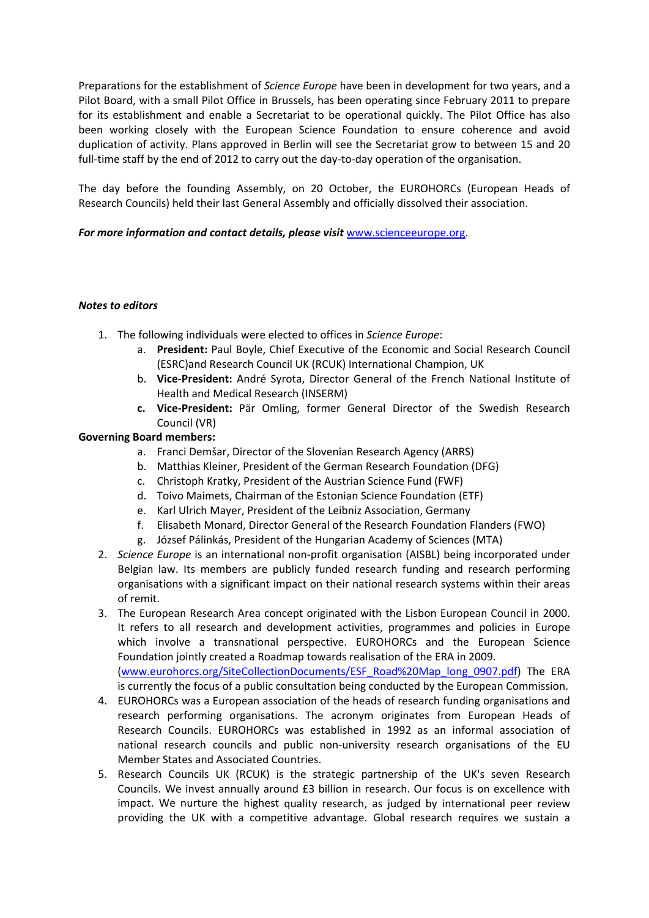Preparations for the establishment of *Science Europe* have been in development for two years, and a Pilot Board, with a small Pilot Office in Brussels, has been operating since February 2011 to prepare for its establishment and enable a Secretariat to be operational quickly. The Pilot Office has also been working closely with the European Science Foundation to ensure coherence and avoid duplication of activity. Plans approved in Berlin will see the Secretariat grow to between 15 and 20 full-time staff by the end of 2012 to carry out the day-to-day operation of the organisation.

The day before the founding Assembly, on 20 October, the EUROHORCs (European Heads of Research Councils) held their last General Assembly and officially dissolved their association.

## *For more information and contact details, please visit* www.scienceeurope.org.

## *Notes to editors*

- 1. The following individuals were elected to offices in *Science Europe*:
	- a. **President:** Paul Boyle, Chief Executive of the Economic and Social Research Council (ESRC)and Research Council UK (RCUK) International Champion, UK
	- b. **Vice‐President:** André Syrota, Director General of the French National Institute of Health and Medical Research (INSERM)
	- **c. Vice‐President:** Pär Omling, former General Director of the Swedish Research Council (VR)

## **Governing Board members:**

- a. Franci Demšar, Director of the Slovenian Research Agency (ARRS)
- b. Matthias Kleiner, President of the German Research Foundation (DFG)
- c. Christoph Kratky, President of the Austrian Science Fund (FWF)
- d. Toivo Maimets, Chairman of the Estonian Science Foundation (ETF)
- e. Karl Ulrich Mayer, President of the Leibniz Association, Germany
- f. Elisabeth Monard, Director General of the Research Foundation Flanders (FWO)
- g. József Pálinkás, President of the Hungarian Academy of Sciences (MTA)
- 2. *Science Europe* is an international non‐profit organisation (AISBL) being incorporated under Belgian law. Its members are publicly funded research funding and research performing organisations with a significant impact on their national research systems within their areas of remit.
- 3. The European Research Area concept originated with the Lisbon European Council in 2000. It refers to all research and development activities, programmes and policies in Europe which involve a transnational perspective. EUROHORCs and the European Science Foundation jointly created a Roadmap towards realisation of the ERA in 2009. (www.eurohorcs.org/SiteCollectionDocuments/ESF\_Road%20Map\_long\_0907.pdf) The ERA is currently the focus of a public consultation being conducted by the European Commission.
- 4. EUROHORCs was a European association of the heads of research funding organisations and research performing organisations. The acronym originates from European Heads of Research Councils. EUROHORCs was established in 1992 as an informal association of national research councils and public non‐university research organisations of the EU Member States and Associated Countries.
- 5. Research Councils UK (RCUK) is the strategic partnership of the UK's seven Research Councils. We invest annually around £3 billion in research. Our focus is on excellence with impact. We nurture the highest quality research, as judged by international peer review providing the UK with a competitive advantage. Global research requires we sustain a